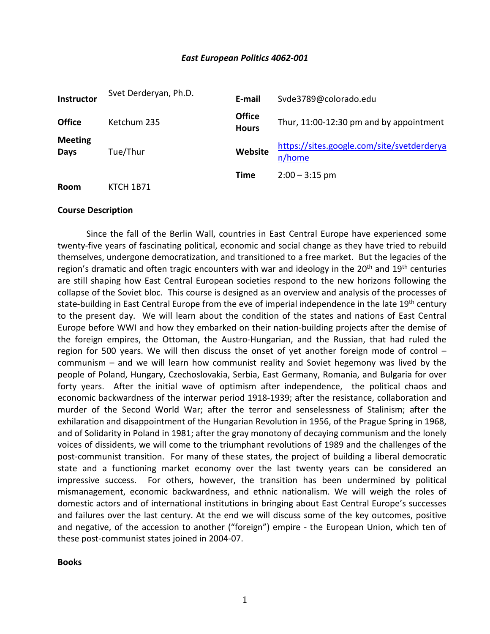#### *East European Politics 4062-001*

| Instructor             | Svet Derderyan, Ph.D. | E-mail                        | Svde3789@colorado.edu                                |
|------------------------|-----------------------|-------------------------------|------------------------------------------------------|
| <b>Office</b>          | Ketchum 235           | <b>Office</b><br><b>Hours</b> | Thur, 11:00-12:30 pm and by appointment              |
| <b>Meeting</b><br>Days | Tue/Thur              | Website                       | https://sites.google.com/site/svetderderya<br>n/home |
| Room                   | <b>KTCH 1B71</b>      | Time                          | $2:00 - 3:15$ pm                                     |

#### **Course Description**

Since the fall of the Berlin Wall, countries in East Central Europe have experienced some twenty-five years of fascinating political, economic and social change as they have tried to rebuild themselves, undergone democratization, and transitioned to a free market. But the legacies of the region's dramatic and often tragic encounters with war and ideology in the  $20<sup>th</sup>$  and  $19<sup>th</sup>$  centuries are still shaping how East Central European societies respond to the new horizons following the collapse of the Soviet bloc. This course is designed as an overview and analysis of the processes of state-building in East Central Europe from the eve of imperial independence in the late 19<sup>th</sup> century to the present day. We will learn about the condition of the states and nations of East Central Europe before WWI and how they embarked on their nation-building projects after the demise of the foreign empires, the Ottoman, the Austro-Hungarian, and the Russian, that had ruled the region for 500 years. We will then discuss the onset of yet another foreign mode of control – communism – and we will learn how communist reality and Soviet hegemony was lived by the people of Poland, Hungary, Czechoslovakia, Serbia, East Germany, Romania, and Bulgaria for over forty years. After the initial wave of optimism after independence, the political chaos and economic backwardness of the interwar period 1918-1939; after the resistance, collaboration and murder of the Second World War; after the terror and senselessness of Stalinism; after the exhilaration and disappointment of the Hungarian Revolution in 1956, of the Prague Spring in 1968, and of Solidarity in Poland in 1981; after the gray monotony of decaying communism and the lonely voices of dissidents, we will come to the triumphant revolutions of 1989 and the challenges of the post-communist transition. For many of these states, the project of building a liberal democratic state and a functioning market economy over the last twenty years can be considered an impressive success. For others, however, the transition has been undermined by political mismanagement, economic backwardness, and ethnic nationalism. We will weigh the roles of domestic actors and of international institutions in bringing about East Central Europe's successes and failures over the last century. At the end we will discuss some of the key outcomes, positive and negative, of the accession to another ("foreign") empire - the European Union, which ten of these post-communist states joined in 2004-07.

**Books**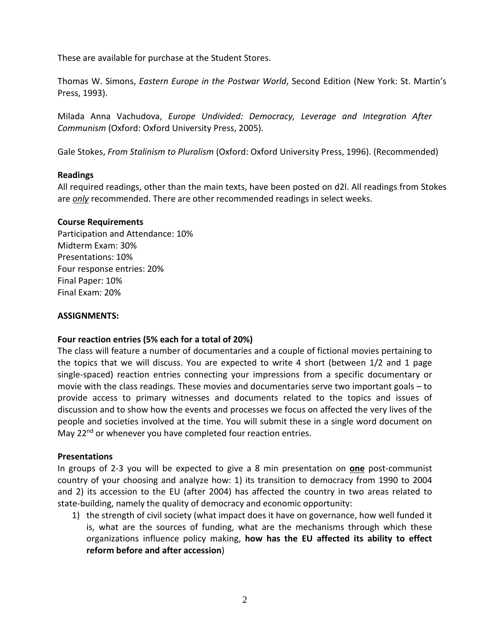These are available for purchase at the Student Stores.

Thomas W. Simons, *Eastern Europe in the Postwar World*, Second Edition (New York: St. Martin's Press, 1993).

Milada Anna Vachudova, *Europe Undivided: Democracy, Leverage and Integration After Communism* (Oxford: Oxford University Press, 2005).

Gale Stokes, *From Stalinism to Pluralism* (Oxford: Oxford University Press, 1996). (Recommended)

### **Readings**

All required readings, other than the main texts, have been posted on d2l. All readings from Stokes are *only* recommended. There are other recommended readings in select weeks.

## **Course Requirements**

Participation and Attendance: 10% Midterm Exam: 30% Presentations: 10% Four response entries: 20% Final Paper: 10% Final Exam: 20%

### **ASSIGNMENTS:**

## **Four reaction entries (5% each for a total of 20%)**

The class will feature a number of documentaries and a couple of fictional movies pertaining to the topics that we will discuss. You are expected to write 4 short (between 1/2 and 1 page single-spaced) reaction entries connecting your impressions from a specific documentary or movie with the class readings. These movies and documentaries serve two important goals – to provide access to primary witnesses and documents related to the topics and issues of discussion and to show how the events and processes we focus on affected the very lives of the people and societies involved at the time. You will submit these in a single word document on May 22<sup>nd</sup> or whenever you have completed four reaction entries.

#### **Presentations**

In groups of 2-3 you will be expected to give a 8 min presentation on **one** post-communist country of your choosing and analyze how: 1) its transition to democracy from 1990 to 2004 and 2) its accession to the EU (after 2004) has affected the country in two areas related to state-building, namely the quality of democracy and economic opportunity:

1) the strength of civil society (what impact does it have on governance, how well funded it is, what are the sources of funding, what are the mechanisms through which these organizations influence policy making, **how has the EU affected its ability to effect reform before and after accession**)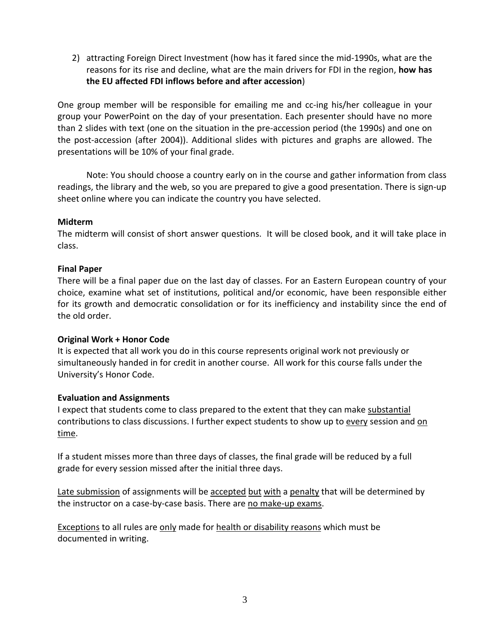2) attracting Foreign Direct Investment (how has it fared since the mid-1990s, what are the reasons for its rise and decline, what are the main drivers for FDI in the region, **how has the EU affected FDI inflows before and after accession**)

One group member will be responsible for emailing me and cc-ing his/her colleague in your group your PowerPoint on the day of your presentation. Each presenter should have no more than 2 slides with text (one on the situation in the pre-accession period (the 1990s) and one on the post-accession (after 2004)). Additional slides with pictures and graphs are allowed. The presentations will be 10% of your final grade.

Note: You should choose a country early on in the course and gather information from class readings, the library and the web, so you are prepared to give a good presentation. There is sign-up sheet online where you can indicate the country you have selected.

# **Midterm**

The midterm will consist of short answer questions. It will be closed book, and it will take place in class.

# **Final Paper**

There will be a final paper due on the last day of classes. For an Eastern European country of your choice, examine what set of institutions, political and/or economic, have been responsible either for its growth and democratic consolidation or for its inefficiency and instability since the end of the old order.

## **Original Work + Honor Code**

It is expected that all work you do in this course represents original work not previously or simultaneously handed in for credit in another course. All work for this course falls under the University's Honor Code.

## **Evaluation and Assignments**

I expect that students come to class prepared to the extent that they can make substantial contributions to class discussions. I further expect students to show up to every session and on time.

If a student misses more than three days of classes, the final grade will be reduced by a full grade for every session missed after the initial three days.

Late submission of assignments will be accepted but with a penalty that will be determined by the instructor on a case-by-case basis. There are no make-up exams.

Exceptions to all rules are only made for health or disability reasons which must be documented in writing.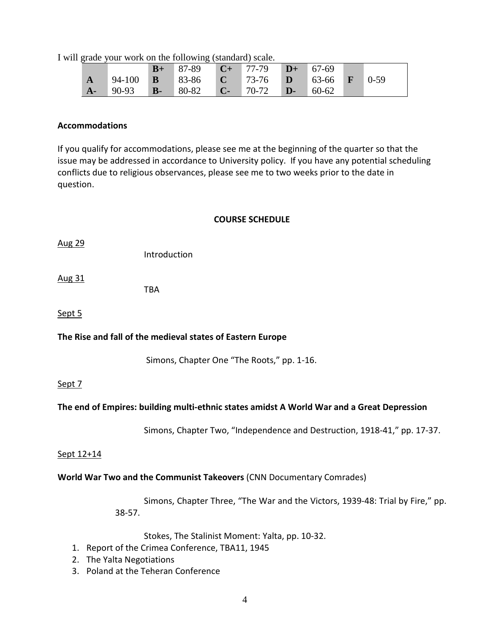I will grade your work on the following (standard) scale.

|              |       | $B+$ | $\blacksquare$ 87-89 $\blacksquare$ C+ 77-79 $\blacksquare$ D+    |  | $-67-69$ |  |
|--------------|-------|------|-------------------------------------------------------------------|--|----------|--|
| $\mathbf{A}$ |       |      | 94-100 <b>B</b> 83-86 <b>C</b> 73-76 <b>D</b> 63-66 <b>F</b> 0-59 |  |          |  |
| $A-$         | 90-93 | $B-$ | $80-82$ C- 70-72 D-                                               |  | 60-62    |  |

#### **Accommodations**

If you qualify for accommodations, please see me at the beginning of the quarter so that the issue may be addressed in accordance to University policy. If you have any potential scheduling conflicts due to religious observances, please see me to two weeks prior to the date in question.

### **COURSE SCHEDULE**

Aug 29

Introduction

Aug 31

TBA

Sept 5

## **The Rise and fall of the medieval states of Eastern Europe**

Simons, Chapter One "The Roots," pp. 1-16.

## Sept 7

## **The end of Empires: building multi-ethnic states amidst A World War and a Great Depression**

Simons, Chapter Two, "Independence and Destruction, 1918-41," pp. 17-37.

#### Sept 12+14

#### **World War Two and the Communist Takeovers** (CNN Documentary Comrades)

Simons, Chapter Three, "The War and the Victors, 1939-48: Trial by Fire," pp. 38-57.

Stokes, The Stalinist Moment: Yalta, pp. 10-32.

- 1. Report of the Crimea Conference, TBA11, 1945
- 2. The Yalta Negotiations
- 3. Poland at the Teheran Conference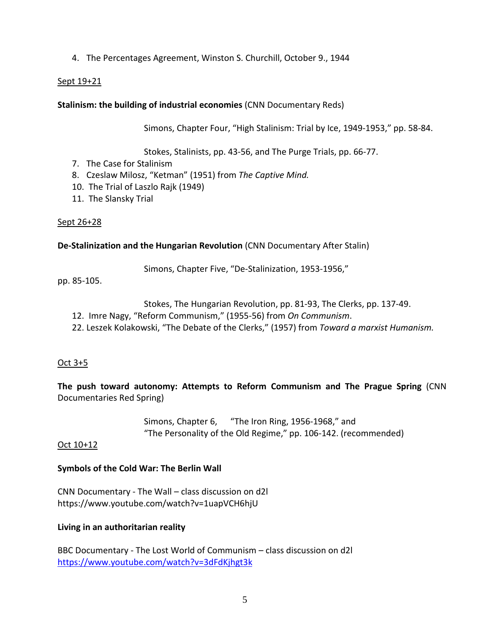# 4. The Percentages Agreement, Winston S. Churchill, October 9., 1944

### Sept 19+21

### **Stalinism: the building of industrial economies** (CNN Documentary Reds)

Simons, Chapter Four, "High Stalinism: Trial by Ice, 1949-1953," pp. 58-84.

Stokes, Stalinists, pp. 43-56, and The Purge Trials, pp. 66-77.

- 7. The Case for Stalinism
- 8. Czeslaw Milosz, "Ketman" (1951) from *The Captive Mind.*
- 10. The Trial of Laszlo Rajk (1949)
- 11. The Slansky Trial

## Sept 26+28

### **De-Stalinization and the Hungarian Revolution** (CNN Documentary After Stalin)

Simons, Chapter Five, "De-Stalinization, 1953-1956,"

pp. 85-105.

- Stokes, The Hungarian Revolution, pp. 81-93, The Clerks, pp. 137-49.
- 12. Imre Nagy, "Reform Communism," (1955-56) from *On Communism*.
- 22. Leszek Kolakowski, "The Debate of the Clerks," (1957) from *Toward a marxist Humanism.*

## Oct 3+5

**The push toward autonomy: Attempts to Reform Communism and The Prague Spring** (CNN Documentaries Red Spring)

> Simons, Chapter 6, "The Iron Ring, 1956-1968," and "The Personality of the Old Regime," pp. 106-142. (recommended)

#### Oct 10+12

## **Symbols of the Cold War: The Berlin Wall**

CNN Documentary - The Wall – class discussion on d2l https://www.youtube.com/watch?v=1uapVCH6hjU

## **Living in an authoritarian reality**

BBC Documentary - The Lost World of Communism – class discussion on d2l <https://www.youtube.com/watch?v=3dFdKjhgt3k>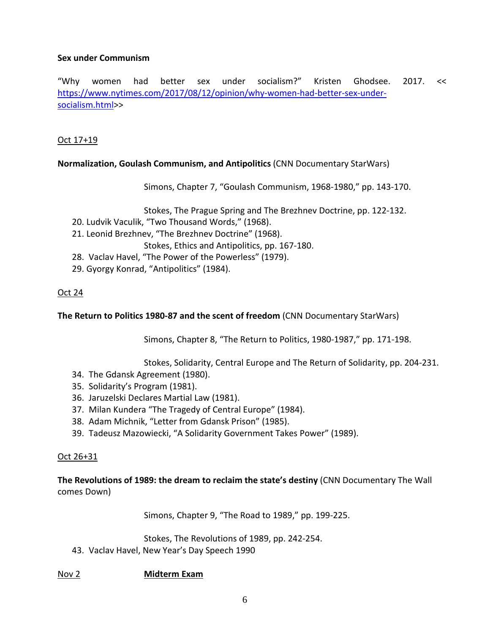## **Sex under Communism**

"Why women had better sex under socialism?" Kristen Ghodsee. 2017. << [https://www.nytimes.com/2017/08/12/opinion/why-women-had-better-sex-under](https://www.nytimes.com/2017/08/12/opinion/why-women-had-better-sex-under-socialism.html)[socialism.html>](https://www.nytimes.com/2017/08/12/opinion/why-women-had-better-sex-under-socialism.html)>

## Oct 17+19

**Normalization, Goulash Communism, and Antipolitics** (CNN Documentary StarWars)

Simons, Chapter 7, "Goulash Communism, 1968-1980," pp. 143-170.

Stokes, The Prague Spring and The Brezhnev Doctrine, pp. 122-132.

- 20. Ludvik Vaculik, "Two Thousand Words," (1968).
- 21. Leonid Brezhnev, "The Brezhnev Doctrine" (1968).

Stokes, Ethics and Antipolitics, pp. 167-180.

- 28. Vaclav Havel, "The Power of the Powerless" (1979).
- 29. Gyorgy Konrad, "Antipolitics" (1984).

# Oct 24

**The Return to Politics 1980-87 and the scent of freedom** (CNN Documentary StarWars)

Simons, Chapter 8, "The Return to Politics, 1980-1987," pp. 171-198.

Stokes, Solidarity, Central Europe and The Return of Solidarity, pp. 204-231.

- 34. The Gdansk Agreement (1980).
- 35. Solidarity's Program (1981).
- 36. Jaruzelski Declares Martial Law (1981).
- 37. Milan Kundera "The Tragedy of Central Europe" (1984).
- 38. Adam Michnik, "Letter from Gdansk Prison" (1985).
- 39. Tadeusz Mazowiecki, "A Solidarity Government Takes Power" (1989).

## Oct 26+31

**The Revolutions of 1989: the dream to reclaim the state's destiny** (CNN Documentary The Wall comes Down)

Simons, Chapter 9, "The Road to 1989," pp. 199-225.

Stokes, The Revolutions of 1989, pp. 242-254.

43. Vaclav Havel, New Year's Day Speech 1990

## Nov 2 **Midterm Exam**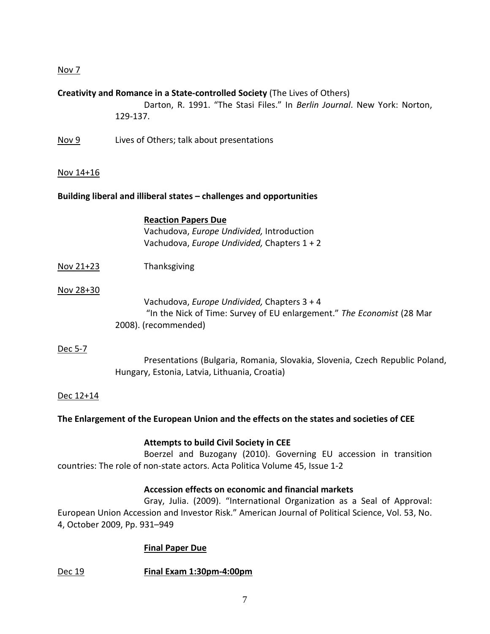# Nov 7

## **Creativity and Romance in a State-controlled Society** (The Lives of Others)

Darton, R. 1991. "The Stasi Files." In *Berlin Journal*. New York: Norton, 129-137.

Nov 9 Lives of Others; talk about presentations

#### Nov 14+16

#### **Building liberal and illiberal states – challenges and opportunities**

| <b>Reaction Papers Due</b>                |
|-------------------------------------------|
| Vachudova, Europe Undivided, Introduction |

Vachudova, *Europe Undivided,* Chapters 1 + 2

Nov 21+23 Thanksgiving

#### Nov 28+30

Vachudova, *Europe Undivided,* Chapters 3 + 4 "In the Nick of Time: Survey of EU enlargement." *The Economist* (28 Mar 2008). (recommended)

#### Dec 5-7

Presentations (Bulgaria, Romania, Slovakia, Slovenia, Czech Republic Poland, Hungary, Estonia, Latvia, Lithuania, Croatia)

#### Dec 12+14

#### **The Enlargement of the European Union and the effects on the states and societies of CEE**

#### **Attempts to build Civil Society in CEE**

Boerzel and Buzogany (2010). Governing EU accession in transition countries: The role of non-state actors. Acta Politica Volume 45, Issue 1-2

#### **Accession effects on economic and financial markets**

Gray, Julia. (2009). "International Organization as a Seal of Approval: European Union Accession and Investor Risk." American Journal of Political Science, Vol. 53, No. 4, October 2009, Pp. 931–949

#### **Final Paper Due**

Dec 19 **Final Exam 1:30pm-4:00pm**